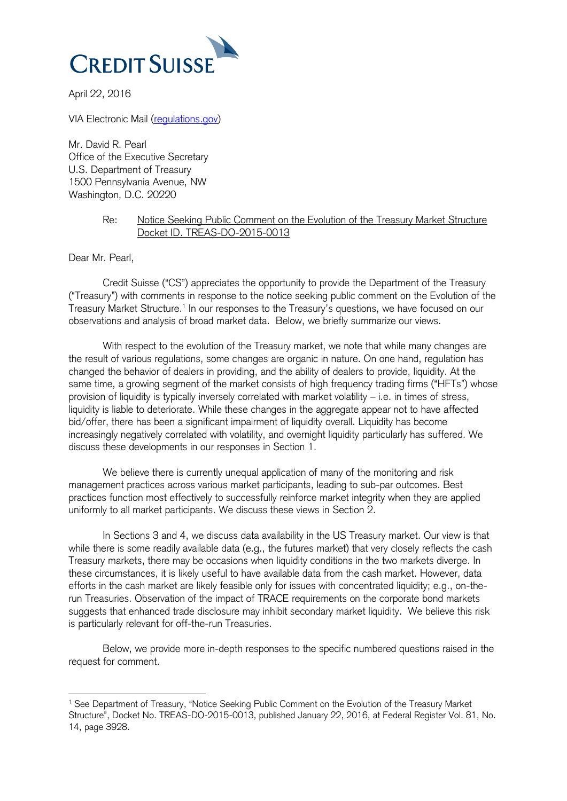

April 22, 2016

VIA Electronic Mail [\(regulations.gov\)](file:///C:/Users/jmandel/AppData/Local/Microsoft/Windows/Temporary%20Internet%20Files/Content.Outlook/QFNXI1H2/regulations.gov)

Mr. David R. Pearl Office of the Executive Secretary U.S. Department of Treasury 1500 Pennsylvania Avenue, NW Washington, D.C. 20220

#### Re: Notice Seeking Public Comment on the Evolution of the Treasury Market Structure Docket ID. TREAS-DO-2015-0013

Dear Mr. Pearl,

-

Credit Suisse ("CS") appreciates the opportunity to provide the Department of the Treasury ("Treasury") with comments in response to the notice seeking public comment on the Evolution of the Treasury Market Structure.<sup>1</sup> In our responses to the Treasury's questions, we have focused on our observations and analysis of broad market data. Below, we briefly summarize our views.

With respect to the evolution of the Treasury market, we note that while many changes are the result of various regulations, some changes are organic in nature. On one hand, regulation has changed the behavior of dealers in providing, and the ability of dealers to provide, liquidity. At the same time, a growing segment of the market consists of high frequency trading firms ("HFTs") whose provision of liquidity is typically inversely correlated with market volatility – i.e. in times of stress, liquidity is liable to deteriorate. While these changes in the aggregate appear not to have affected bid/offer, there has been a significant impairment of liquidity overall. Liquidity has become increasingly negatively correlated with volatility, and overnight liquidity particularly has suffered. We discuss these developments in our responses in Section 1.

We believe there is currently unequal application of many of the monitoring and risk management practices across various market participants, leading to sub-par outcomes. Best practices function most effectively to successfully reinforce market integrity when they are applied uniformly to all market participants. We discuss these views in Section 2.

In Sections 3 and 4, we discuss data availability in the US Treasury market. Our view is that while there is some readily available data (e.g., the futures market) that very closely reflects the cash Treasury markets, there may be occasions when liquidity conditions in the two markets diverge. In these circumstances, it is likely useful to have available data from the cash market. However, data efforts in the cash market are likely feasible only for issues with concentrated liquidity; e.g., on-therun Treasuries. Observation of the impact of TRACE requirements on the corporate bond markets suggests that enhanced trade disclosure may inhibit secondary market liquidity. We believe this risk is particularly relevant for off-the-run Treasuries.

Below, we provide more in-depth responses to the specific numbered questions raised in the request for comment.

<sup>1</sup> See Department of Treasury, "Notice Seeking Public Comment on the Evolution of the Treasury Market Structure", Docket No. TREAS-DO-2015-0013, published January 22, 2016, at Federal Register Vol. 81, No. 14, page 3928.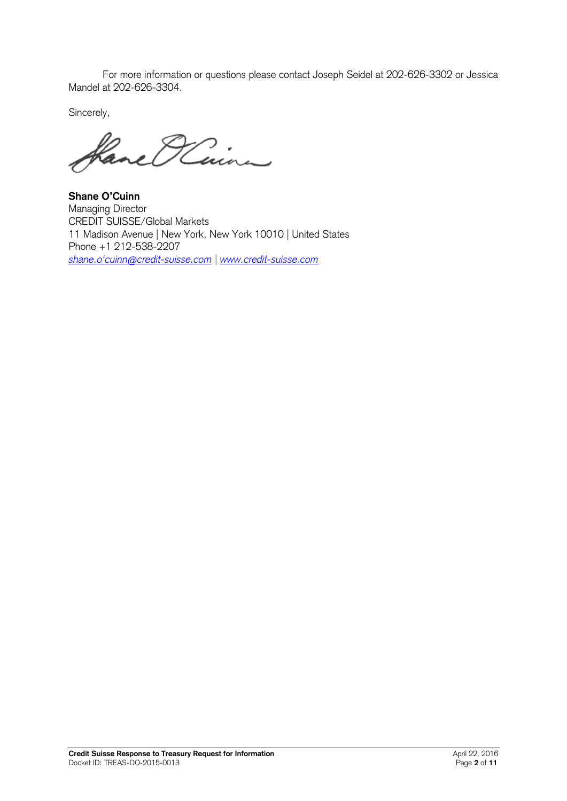For more information or questions please contact Joseph Seidel at 202-626-3302 or Jessica Mandel at 202-626-3304.

Sincerely,

Have O'Cinn

**Shane O'Cuinn** Managing Director CREDIT SUISSE/Global Markets 11 Madison Avenue | New York, New York 10010 | United States Phone +1 212-538-2207 *[shane.o'cuinn@credit](http://shane.o)-suisse.com | [www.credit-suisse.com](http://www.credit-suisse.com/)*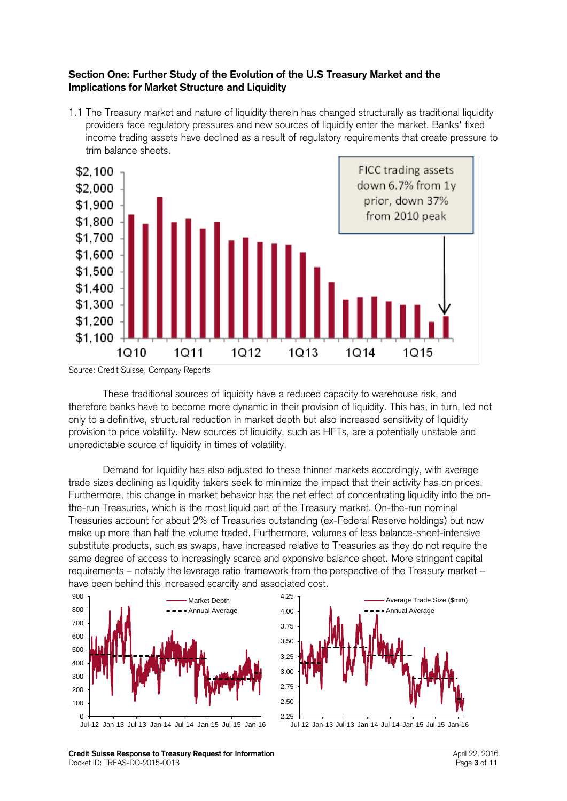#### **Section One: Further Study of the Evolution of the U.S Treasury Market and the Implications for Market Structure and Liquidity**

1.1 The Treasury market and nature of liquidity therein has changed structurally as traditional liquidity providers face regulatory pressures and new sources of liquidity enter the market. Banks' fixed income trading assets have declined as a result of regulatory requirements that create pressure to trim balance sheets.



Source: Credit Suisse, Company Reports

These traditional sources of liquidity have a reduced capacity to warehouse risk, and therefore banks have to become more dynamic in their provision of liquidity. This has, in turn, led not only to a definitive, structural reduction in market depth but also increased sensitivity of liquidity provision to price volatility. New sources of liquidity, such as HFTs, are a potentially unstable and unpredictable source of liquidity in times of volatility.

Demand for liquidity has also adjusted to these thinner markets accordingly, with average trade sizes declining as liquidity takers seek to minimize the impact that their activity has on prices. Furthermore, this change in market behavior has the net effect of concentrating liquidity into the onthe-run Treasuries, which is the most liquid part of the Treasury market. On-the-run nominal Treasuries account for about 2% of Treasuries outstanding (ex-Federal Reserve holdings) but now make up more than half the volume traded. Furthermore, volumes of less balance-sheet-intensive substitute products, such as swaps, have increased relative to Treasuries as they do not require the same degree of access to increasingly scarce and expensive balance sheet. More stringent capital requirements – notably the leverage ratio framework from the perspective of the Treasury market – have been behind this increased scarcity and associated cost.





Jul-12 Jan-13 Jul-13 Jan-14 Jul-14 Jan-15 Jul-15 Jan-16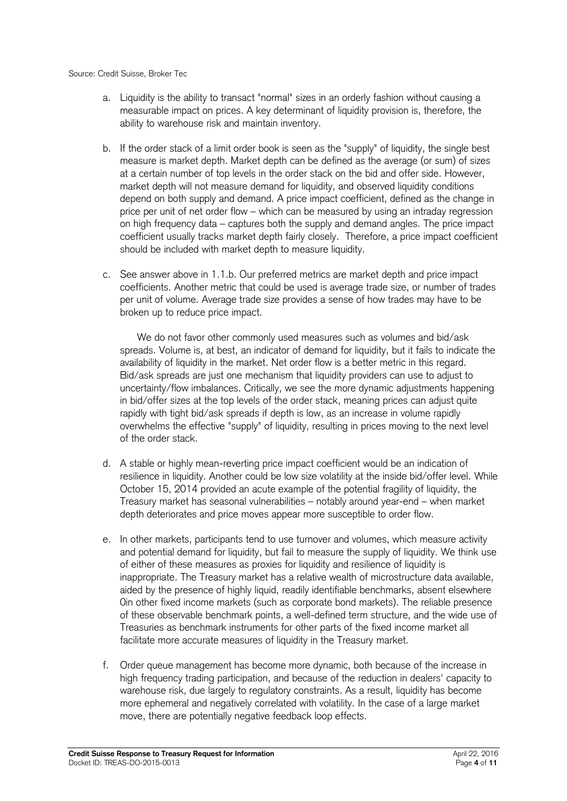#### Source: Credit Suisse, Broker Tec

- a. Liquidity is the ability to transact "normal" sizes in an orderly fashion without causing a measurable impact on prices. A key determinant of liquidity provision is, therefore, the ability to warehouse risk and maintain inventory.
- b. If the order stack of a limit order book is seen as the "supply" of liquidity, the single best measure is market depth. Market depth can be defined as the average (or sum) of sizes at a certain number of top levels in the order stack on the bid and offer side. However, market depth will not measure demand for liquidity, and observed liquidity conditions depend on both supply and demand. A price impact coefficient, defined as the change in price per unit of net order flow – which can be measured by using an intraday regression on high frequency data – captures both the supply and demand angles. The price impact coefficient usually tracks market depth fairly closely. Therefore, a price impact coefficient should be included with market depth to measure liquidity.
- c. See answer above in 1.1.b. Our preferred metrics are market depth and price impact coefficients. Another metric that could be used is average trade size, or number of trades per unit of volume. Average trade size provides a sense of how trades may have to be broken up to reduce price impact.

We do not favor other commonly used measures such as volumes and bid/ask spreads. Volume is, at best, an indicator of demand for liquidity, but it fails to indicate the availability of liquidity in the market. Net order flow is a better metric in this regard. Bid/ask spreads are just one mechanism that liquidity providers can use to adjust to uncertainty/flow imbalances. Critically, we see the more dynamic adjustments happening in bid/offer sizes at the top levels of the order stack, meaning prices can adjust quite rapidly with tight bid/ask spreads if depth is low, as an increase in volume rapidly overwhelms the effective "supply" of liquidity, resulting in prices moving to the next level of the order stack.

- d. A stable or highly mean-reverting price impact coefficient would be an indication of resilience in liquidity. Another could be low size volatility at the inside bid/offer level. While October 15, 2014 provided an acute example of the potential fragility of liquidity, the Treasury market has seasonal vulnerabilities – notably around year-end – when market depth deteriorates and price moves appear more susceptible to order flow.
- e. In other markets, participants tend to use turnover and volumes, which measure activity and potential demand for liquidity, but fail to measure the supply of liquidity. We think use of either of these measures as proxies for liquidity and resilience of liquidity is inappropriate. The Treasury market has a relative wealth of microstructure data available, aided by the presence of highly liquid, readily identifiable benchmarks, absent elsewhere 0in other fixed income markets (such as corporate bond markets). The reliable presence of these observable benchmark points, a well-defined term structure, and the wide use of Treasuries as benchmark instruments for other parts of the fixed income market all facilitate more accurate measures of liquidity in the Treasury market.
- f. Order queue management has become more dynamic, both because of the increase in high frequency trading participation, and because of the reduction in dealers' capacity to warehouse risk, due largely to regulatory constraints. As a result, liquidity has become more ephemeral and negatively correlated with volatility. In the case of a large market move, there are potentially negative feedback loop effects.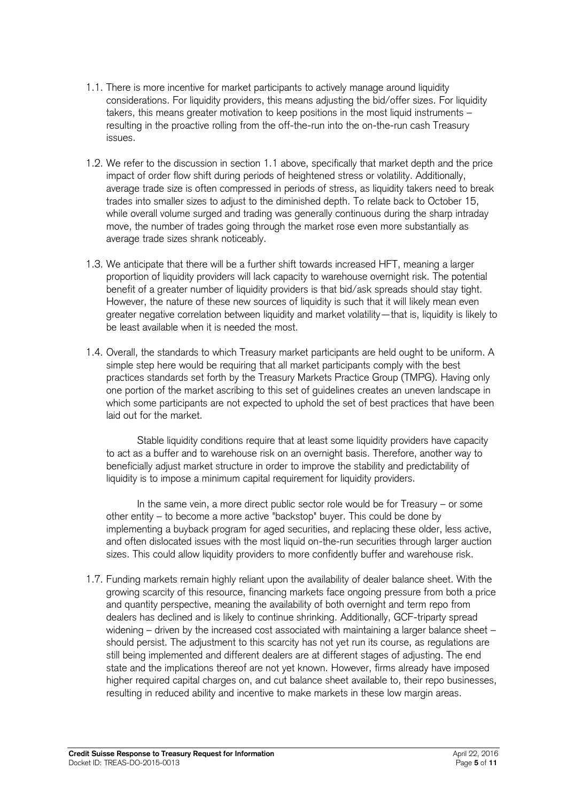- 1.1. There is more incentive for market participants to actively manage around liquidity considerations. For liquidity providers, this means adjusting the bid/offer sizes. For liquidity takers, this means greater motivation to keep positions in the most liquid instruments – resulting in the proactive rolling from the off-the-run into the on-the-run cash Treasury issues.
- 1.2. We refer to the discussion in section 1.1 above, specifically that market depth and the price impact of order flow shift during periods of heightened stress or volatility. Additionally, average trade size is often compressed in periods of stress, as liquidity takers need to break trades into smaller sizes to adjust to the diminished depth. To relate back to October 15, while overall volume surged and trading was generally continuous during the sharp intraday move, the number of trades going through the market rose even more substantially as average trade sizes shrank noticeably.
- 1.3. We anticipate that there will be a further shift towards increased HFT, meaning a larger proportion of liquidity providers will lack capacity to warehouse overnight risk. The potential benefit of a greater number of liquidity providers is that bid/ask spreads should stay tight. However, the nature of these new sources of liquidity is such that it will likely mean even greater negative correlation between liquidity and market volatility—that is, liquidity is likely to be least available when it is needed the most.
- 1.4. Overall, the standards to which Treasury market participants are held ought to be uniform. A simple step here would be requiring that all market participants comply with the best practices standards set forth by the Treasury Markets Practice Group (TMPG). Having only one portion of the market ascribing to this set of guidelines creates an uneven landscape in which some participants are not expected to uphold the set of best practices that have been laid out for the market.

Stable liquidity conditions require that at least some liquidity providers have capacity to act as a buffer and to warehouse risk on an overnight basis. Therefore, another way to beneficially adjust market structure in order to improve the stability and predictability of liquidity is to impose a minimum capital requirement for liquidity providers.

In the same vein, a more direct public sector role would be for Treasury – or some other entity – to become a more active "backstop" buyer. This could be done by implementing a buyback program for aged securities, and replacing these older, less active, and often dislocated issues with the most liquid on-the-run securities through larger auction sizes. This could allow liquidity providers to more confidently buffer and warehouse risk.

1.7. Funding markets remain highly reliant upon the availability of dealer balance sheet. With the growing scarcity of this resource, financing markets face ongoing pressure from both a price and quantity perspective, meaning the availability of both overnight and term repo from dealers has declined and is likely to continue shrinking. Additionally, GCF-triparty spread widening – driven by the increased cost associated with maintaining a larger balance sheet – should persist. The adjustment to this scarcity has not yet run its course, as regulations are still being implemented and different dealers are at different stages of adjusting. The end state and the implications thereof are not yet known. However, firms already have imposed higher required capital charges on, and cut balance sheet available to, their repo businesses, resulting in reduced ability and incentive to make markets in these low margin areas.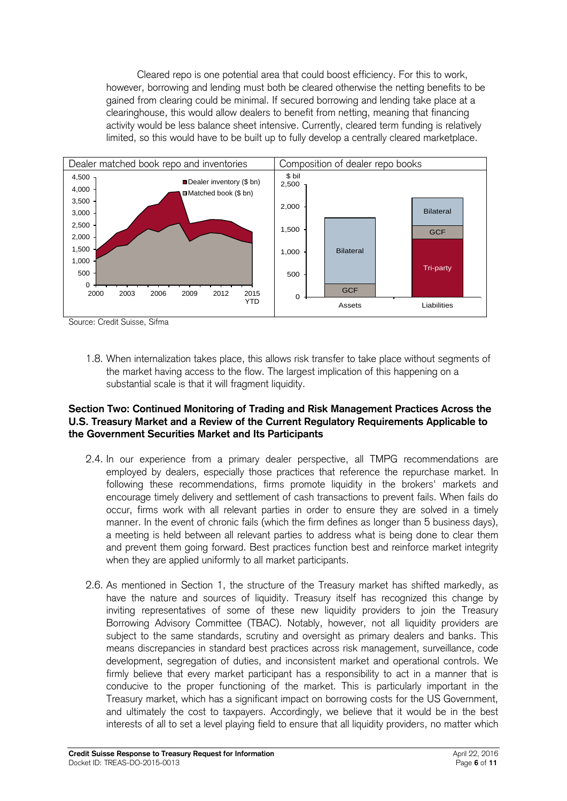Cleared repo is one potential area that could boost efficiency. For this to work, however, borrowing and lending must both be cleared otherwise the netting benefits to be gained from clearing could be minimal. If secured borrowing and lending take place at a clearinghouse, this would allow dealers to benefit from netting, meaning that financing activity would be less balance sheet intensive. Currently, cleared term funding is relatively limited, so this would have to be built up to fully develop a centrally cleared marketplace.



Source: Credit Suisse, Sifma

1.8. When internalization takes place, this allows risk transfer to take place without segments of the market having access to the flow. The largest implication of this happening on a substantial scale is that it will fragment liquidity.

## **Section Two: Continued Monitoring of Trading and Risk Management Practices Across the U.S. Treasury Market and a Review of the Current Regulatory Requirements Applicable to the Government Securities Market and Its Participants**

- 2.4. In our experience from a primary dealer perspective, all TMPG recommendations are employed by dealers, especially those practices that reference the repurchase market. In following these recommendations, firms promote liquidity in the brokers' markets and encourage timely delivery and settlement of cash transactions to prevent fails. When fails do occur, firms work with all relevant parties in order to ensure they are solved in a timely manner. In the event of chronic fails (which the firm defines as longer than 5 business days), a meeting is held between all relevant parties to address what is being done to clear them and prevent them going forward. Best practices function best and reinforce market integrity when they are applied uniformly to all market participants.
- 2.6. As mentioned in Section 1, the structure of the Treasury market has shifted markedly, as have the nature and sources of liquidity. Treasury itself has recognized this change by inviting representatives of some of these new liquidity providers to join the Treasury Borrowing Advisory Committee (TBAC). Notably, however, not all liquidity providers are subject to the same standards, scrutiny and oversight as primary dealers and banks. This means discrepancies in standard best practices across risk management, surveillance, code development, segregation of duties, and inconsistent market and operational controls. We firmly believe that every market participant has a responsibility to act in a manner that is conducive to the proper functioning of the market. This is particularly important in the Treasury market, which has a significant impact on borrowing costs for the US Government, and ultimately the cost to taxpayers. Accordingly, we believe that it would be in the best interests of all to set a level playing field to ensure that all liquidity providers, no matter which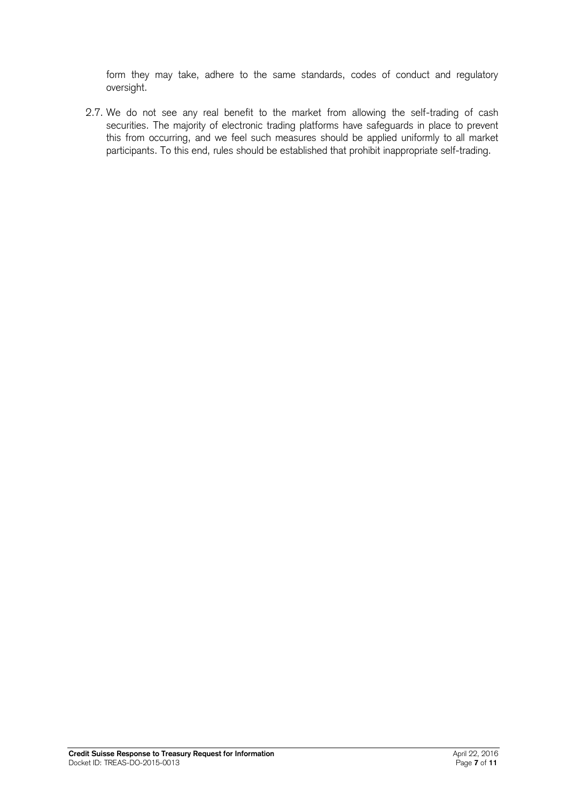form they may take, adhere to the same standards, codes of conduct and regulatory oversight.

2.7. We do not see any real benefit to the market from allowing the self-trading of cash securities. The majority of electronic trading platforms have safeguards in place to prevent this from occurring, and we feel such measures should be applied uniformly to all market participants. To this end, rules should be established that prohibit inappropriate self-trading.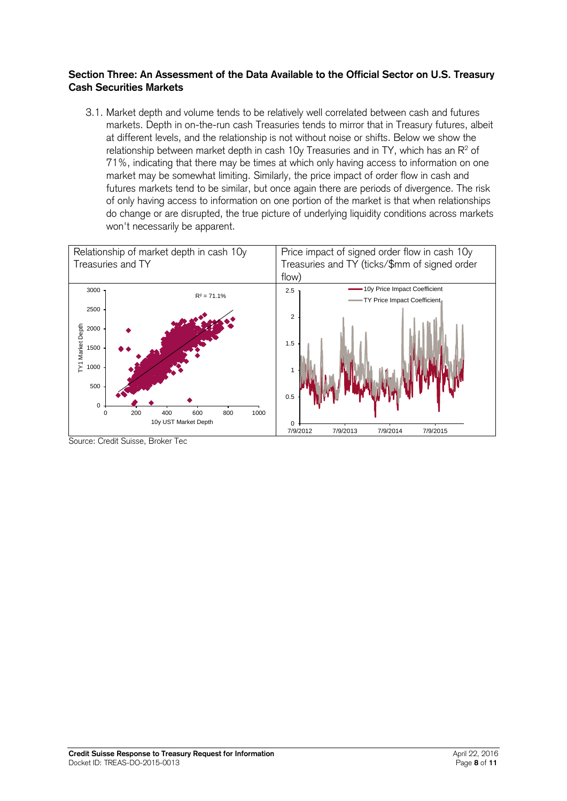### **Section Three: An Assessment of the Data Available to the Official Sector on U.S. Treasury Cash Securities Markets**

3.1. Market depth and volume tends to be relatively well correlated between cash and futures markets. Depth in on-the-run cash Treasuries tends to mirror that in Treasury futures, albeit at different levels, and the relationship is not without noise or shifts. Below we show the relationship between market depth in cash 10y Treasuries and in TY, which has an  $\mathsf{R}^2$  of 71%, indicating that there may be times at which only having access to information on one market may be somewhat limiting. Similarly, the price impact of order flow in cash and futures markets tend to be similar, but once again there are periods of divergence. The risk of only having access to information on one portion of the market is that when relationships do change or are disrupted, the true picture of underlying liquidity conditions across markets won't necessarily be apparent.



Source: Credit Suisse, Broker Tec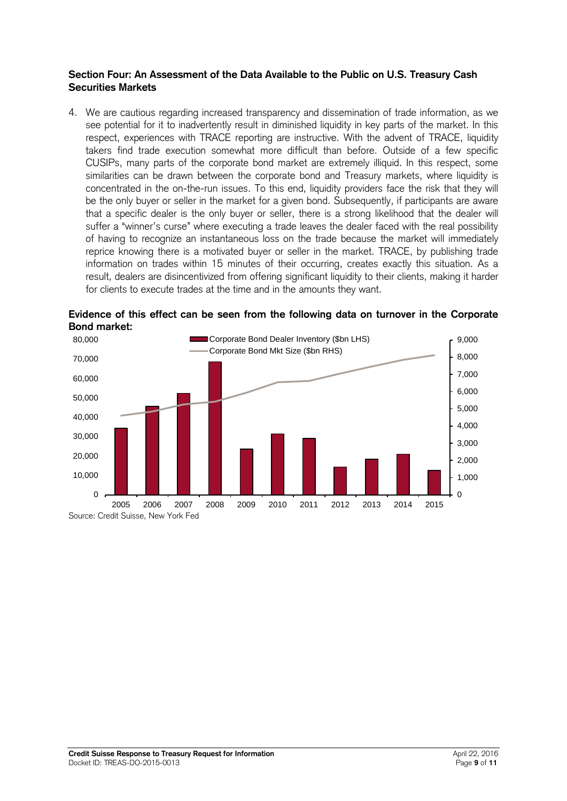#### **Section Four: An Assessment of the Data Available to the Public on U.S. Treasury Cash Securities Markets**

4. We are cautious regarding increased transparency and dissemination of trade information, as we see potential for it to inadvertently result in diminished liquidity in key parts of the market. In this respect, experiences with TRACE reporting are instructive. With the advent of TRACE, liquidity takers find trade execution somewhat more difficult than before. Outside of a few specific CUSIPs, many parts of the corporate bond market are extremely illiquid. In this respect, some similarities can be drawn between the corporate bond and Treasury markets, where liquidity is concentrated in the on-the-run issues. To this end, liquidity providers face the risk that they will be the only buyer or seller in the market for a given bond. Subsequently, if participants are aware that a specific dealer is the only buyer or seller, there is a strong likelihood that the dealer will suffer a "winner's curse" where executing a trade leaves the dealer faced with the real possibility of having to recognize an instantaneous loss on the trade because the market will immediately reprice knowing there is a motivated buyer or seller in the market. TRACE, by publishing trade information on trades within 15 minutes of their occurring, creates exactly this situation. As a result, dealers are disincentivized from offering significant liquidity to their clients, making it harder for clients to execute trades at the time and in the amounts they want.



**Evidence of this effect can be seen from the following data on turnover in the Corporate Bond market:**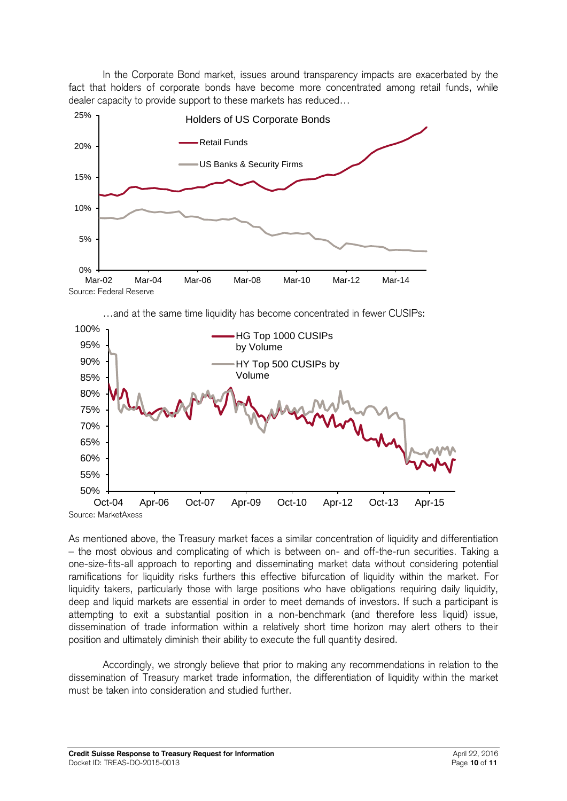In the Corporate Bond market, issues around transparency impacts are exacerbated by the fact that holders of corporate bonds have become more concentrated among retail funds, while dealer capacity to provide support to these markets has reduced…





As mentioned above, the Treasury market faces a similar concentration of liquidity and differentiation – the most obvious and complicating of which is between on- and off-the-run securities. Taking a one-size-fits-all approach to reporting and disseminating market data without considering potential ramifications for liquidity risks furthers this effective bifurcation of liquidity within the market. For liquidity takers, particularly those with large positions who have obligations requiring daily liquidity, deep and liquid markets are essential in order to meet demands of investors. If such a participant is attempting to exit a substantial position in a non-benchmark (and therefore less liquid) issue, dissemination of trade information within a relatively short time horizon may alert others to their position and ultimately diminish their ability to execute the full quantity desired.

Accordingly, we strongly believe that prior to making any recommendations in relation to the dissemination of Treasury market trade information, the differentiation of liquidity within the market must be taken into consideration and studied further.